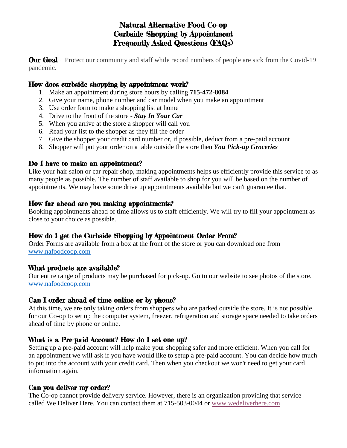# Natural Alternative Food Co-op Curbside Shopping by Appointment Frequently Asked Questions (FAQs)

**Our Goal** - Protect our community and staff while record numbers of people are sick from the Covid-19 pandemic.

# How does curbside shopping by appointment work?

- 1. Make an appointment during store hours by calling **715-472-8084**
- 2. Give your name, phone number and car model when you make an appointment
- 3. Use order form to make a shopping list at home
- 4. Drive to the front of the store *Stay In Your Car*
- 5. When you arrive at the store a shopper will call you
- 6. Read your list to the shopper as they fill the order
- 7. Give the shopper your credit card number or, if possible, deduct from a pre-paid account
- 8. Shopper will put your order on a table outside the store then *You Pick-up Groceries*

### Do I have to make an appointment?

Like your hair salon or car repair shop, making appointments helps us efficiently provide this service to as many people as possible. The number of staff available to shop for you will be based on the number of appointments. We may have some drive up appointments available but we can't guarantee that.

### How far ahead are you making appointments?

Booking appointments ahead of time allows us to staff efficiently. We will try to fill your appointment as close to your choice as possible.

### How do I get the Curbside Shopping by Appointment Order From?

Order Forms are available from a box at the front of the store or you can download one from [www.nafoodcoop.com](file:///C:/Users/Lisa%20Doerr/Documents/Luck%20coop/Covid/www.nafoodcoop.com)

### What products are available?

Our entire range of products may be purchased for pick-up. Go to our website to see photos of the store. [www.nafoodcoop.com](file:///C:/Users/Lisa%20Doerr/Documents/Luck%20coop/Covid/www.nafoodcoop.com)

### Can I order ahead of time online or by phone?

At this time, we are only taking orders from shoppers who are parked outside the store. It is not possible for our Co-op to set up the computer system, freezer, refrigeration and storage space needed to take orders ahead of time by phone or online.

# What is a Pre-paid Account? How do I set one up?

Setting up a pre-paid account will help make your shopping safer and more efficient. When you call for an appointment we will ask if you have would like to setup a pre-paid account. You can decide how much to put into the account with your credit card. Then when you checkout we won't need to get your card information again.

### Can you deliver my order?

The Co-op cannot provide delivery service. However, there is an organization providing that service called We Deliver Here. You can contact them at [715-503-0044](tel:7155030044) or [www.wedeliverhere.com](https://wedeliverhere.com/)